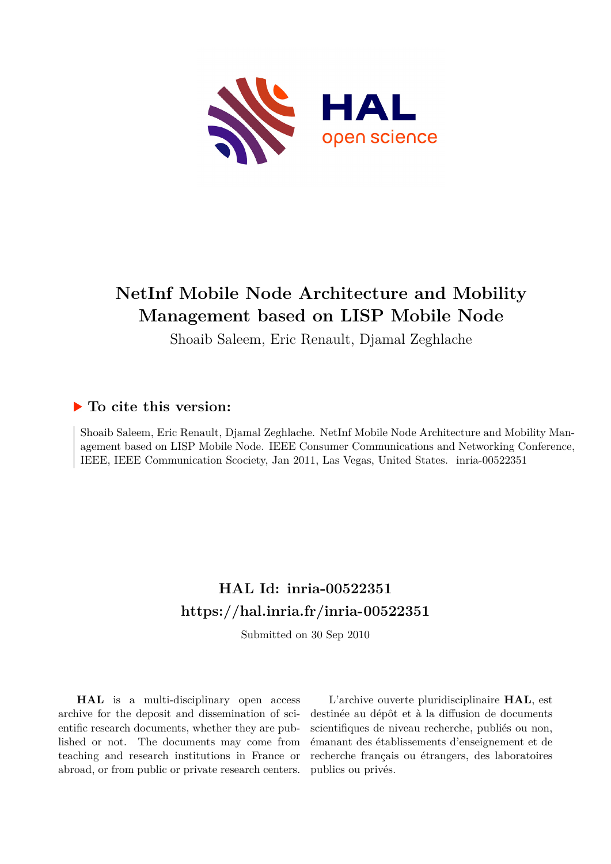

## **NetInf Mobile Node Architecture and Mobility Management based on LISP Mobile Node**

Shoaib Saleem, Eric Renault, Djamal Zeghlache

### **To cite this version:**

Shoaib Saleem, Eric Renault, Djamal Zeghlache. NetInf Mobile Node Architecture and Mobility Management based on LISP Mobile Node. IEEE Consumer Communications and Networking Conference, IEEE, IEEE Communication Scociety, Jan 2011, Las Vegas, United States. inria-00522351

## **HAL Id: inria-00522351 <https://hal.inria.fr/inria-00522351>**

Submitted on 30 Sep 2010

**HAL** is a multi-disciplinary open access archive for the deposit and dissemination of scientific research documents, whether they are published or not. The documents may come from teaching and research institutions in France or abroad, or from public or private research centers.

L'archive ouverte pluridisciplinaire **HAL**, est destinée au dépôt et à la diffusion de documents scientifiques de niveau recherche, publiés ou non, émanant des établissements d'enseignement et de recherche français ou étrangers, des laboratoires publics ou privés.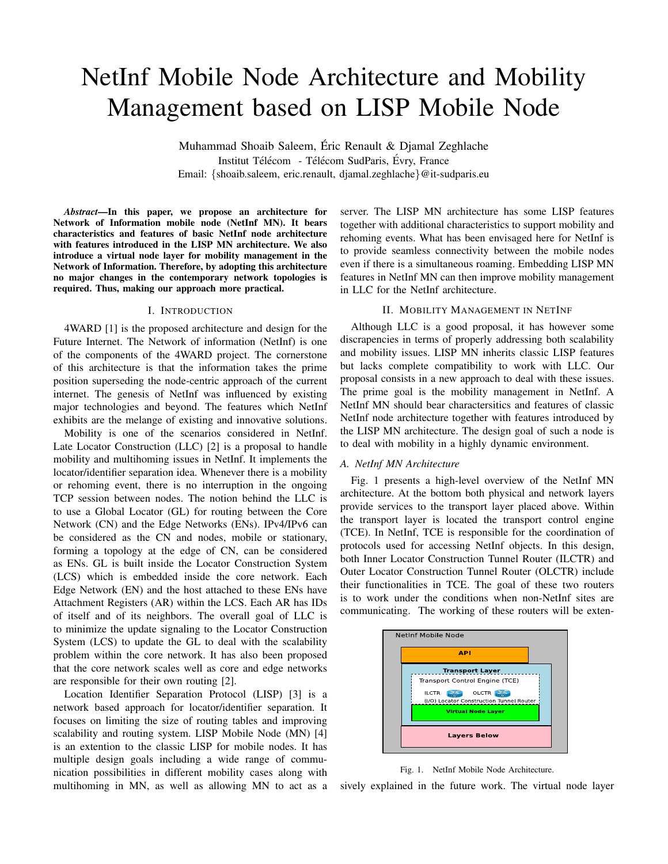# NetInf Mobile Node Architecture and Mobility Management based on LISP Mobile Node

Muhammad Shoaib Saleem, Eric Renault & Djamal Zeghlache ´ Institut Télécom - Télécom SudParis, Évry, France Email: *{*shoaib.saleem, eric.renault, djamal.zeghlache*}*@it-sudparis.eu

*Abstract*—In this paper, we propose an architecture for Network of Information mobile node (NetInf MN). It bears characteristics and features of basic NetInf node architecture with features introduced in the LISP MN architecture. We also introduce a virtual node layer for mobility management in the Network of Information. Therefore, by adopting this architecture no major changes in the contemporary network topologies is required. Thus, making our approach more practical.

#### I. INTRODUCTION

4WARD [1] is the proposed architecture and design for the Future Internet. The Network of information (NetInf) is one of the components of the 4WARD project. The cornerstone of this architecture is that the information takes the prime position superseding the node-centric approach of the current internet. The genesis of NetInf was influenced by existing major technologies and beyond. The features which NetInf exhibits are the melange of existing and innovative solutions.

Mobility is one of the scenarios considered in NetInf. Late Locator Construction (LLC) [2] is a proposal to handle mobility and multihoming issues in NetInf. It implements the locator/identifier separation idea. Whenever there is a mobility or rehoming event, there is no interruption in the ongoing TCP session between nodes. The notion behind the LLC is to use a Global Locator (GL) for routing between the Core Network (CN) and the Edge Networks (ENs). IPv4/IPv6 can be considered as the CN and nodes, mobile or stationary, forming a topology at the edge of CN, can be considered as ENs. GL is built inside the Locator Construction System (LCS) which is embedded inside the core network. Each Edge Network (EN) and the host attached to these ENs have Attachment Registers (AR) within the LCS. Each AR has IDs of itself and of its neighbors. The overall goal of LLC is to minimize the update signaling to the Locator Construction System (LCS) to update the GL to deal with the scalability problem within the core network. It has also been proposed that the core network scales well as core and edge networks are responsible for their own routing [2].

Location Identifier Separation Protocol (LISP) [3] is a network based approach for locator/identifier separation. It focuses on limiting the size of routing tables and improving scalability and routing system. LISP Mobile Node (MN) [4] is an extention to the classic LISP for mobile nodes. It has multiple design goals including a wide range of communication possibilities in different mobility cases along with multihoming in MN, as well as allowing MN to act as a server. The LISP MN architecture has some LISP features together with additional characteristics to support mobility and rehoming events. What has been envisaged here for NetInf is to provide seamless connectivity between the mobile nodes even if there is a simultaneous roaming. Embedding LISP MN features in NetInf MN can then improve mobility management in LLC for the NetInf architecture.

#### II. MOBILITY MANAGEMENT IN NETINF

Although LLC is a good proposal, it has however some discrapencies in terms of properly addressing both scalability and mobility issues. LISP MN inherits classic LISP features but lacks complete compatibility to work with LLC. Our proposal consists in a new approach to deal with these issues. The prime goal is the mobility management in NetInf. A NetInf MN should bear charactersitics and features of classic NetInf node architecture together with features introduced by the LISP MN architecture. The design goal of such a node is to deal with mobility in a highly dynamic environment.

#### *A. NetInf MN Architecture*

Fig. 1 presents a high-level overview of the NetInf MN architecture. At the bottom both physical and network layers provide services to the transport layer placed above. Within the transport layer is located the transport control engine (TCE). In NetInf, TCE is responsible for the coordination of protocols used for accessing NetInf objects. In this design, both Inner Locator Construction Tunnel Router (ILCTR) and Outer Locator Construction Tunnel Router (OLCTR) include their functionalities in TCE. The goal of these two routers is to work under the conditions when non-NetInf sites are communicating. The working of these routers will be exten-



Fig. 1. NetInf Mobile Node Architecture.

sively explained in the future work. The virtual node layer